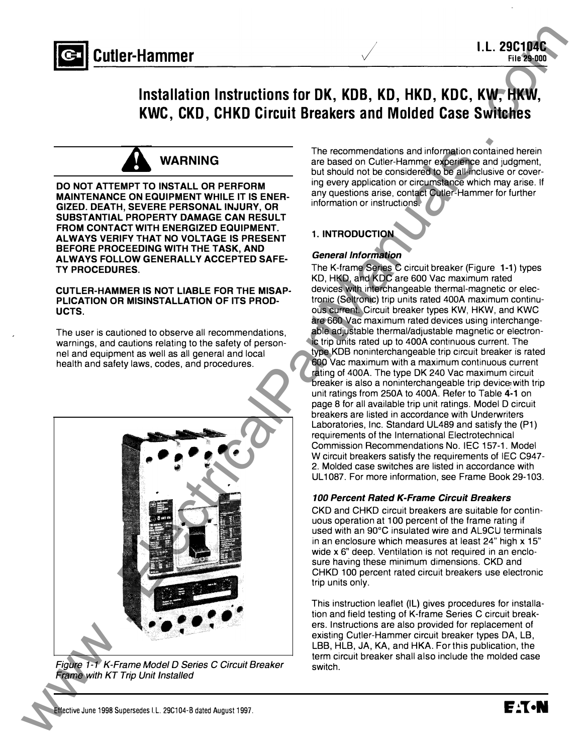



DO NOT ATTEMPT TO INSTALL OR PERFORM MAINTENANCE ON EQUIPMENT WHILE IT IS ENER-GIZED. DEATH, SEVERE PERSONAL INJURY, OR SUBSTANTIAL PROPERTY DAMAGE CAN RESULT FROM CONTACT WITH ENERGIZED EQUIPMENT. ALWAYS VERIFY THAT NO VOLTAGE IS PRESENT BEFORE PROCEEDING WITH THE TASK, AND ALWAYS FOLLOW GENERALLY ACCEPTED SAFE-TY PROCEDURES.

#### CUTLER-HAMMER IS NOT LIABLE FOR THE MISAP-PLICATION OR MISINSTALLATION OF ITS PROD-UCTS.

The user is cautioned to observe all recommendations, warnings, and cautions relating to the safety of personnel and equipment as well as all general and local health and safety laws, codes, and procedures.



Figure 1-1 K-Frame Model 0 Series C Circuit Breaker Frame with KT Trip Unit Installed

The recommendations and information contained herein are based on Cutler-Hammer experience and judgment, but should not be considered to be all-inclusive or covering every application or circumstance which may arise. If any questions arise, contact Cutler-Hammer for further information or instructions.

File 29-000

#### 1. INTRODUCTION

#### **General Information**

The K-frame Series C circuit breaker (Figure 1-1) types KD, HKD, and KDC are 600 Vac maximum rated devices with interchangeable thermal-magnetic or electronic (Seltronic) trip units rated 400A maximum continuous current. Circuit breaker types KW, HKW, and KWC are 660 Vac maximum rated devices using interchangeable adjustable thermal/adjustable magnetic or electronic trip units rated up to 400A continuous current. The type KDB noninterchangeable trip circuit breaker is rated 600 Vac maximum with a maximum continuous current rating of 400A. The type OK 240 Vac maximum Circuit breaker is also a noninterchangeable trip device with trip unit ratings from 250A to 400A. Refer to Table 4-1 on page 8 for all available trip unit ratings. Model D circuit breakers are listed in accordance with Underwriters Laboratories, Inc. Standard UL489 and satisfy the (P1) requirements of the International Electrotechnical Commission Recommendations No. IEC 157-1. Model W circuit breakers satisfy the requirements of IEC C947- 2. Molded case switches are listed in accordance with UL 1087. For more information, see Frame Book 29-103.

#### 100 Percent Rated K-Frame Circuit Breakers

CKD and CHKD circuit breakers are suitable for continuous operation at 100 percent of the frame rating if used with an 90°C insulated wire and AL9CU terminals in an enclosure which measures at least 24" high x 15" wide x 6" deep. Ventilation is not required in an enclosure having these minimum dimensions. CKD and CHKD 100 percent rated circuit breakers use electronic trip units only.

This instruction leaflet (IL) gives procedures for installation and field testing of K-frame Series C circuit breakers. Instructions are also provided for replacement of existing Cutler-Hammer circuit breaker types DA, LB, LBB, HLB, JA, KA, and HKA. For this publication, the term circuit breaker shall also include the molded case switch.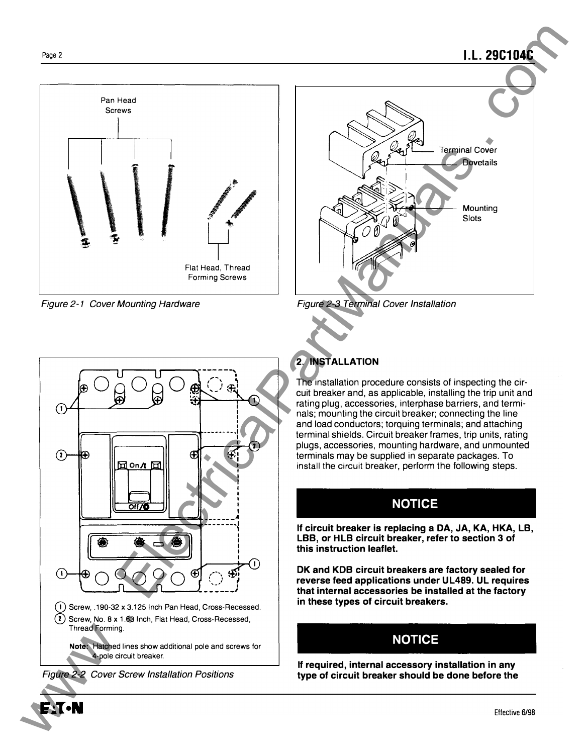# Pan Head Screws ./  $\overline{\phantom{a}}$ Flat Head, Thread Forming Screws

Figure 2-1 Cover Mounting Hardware



l.l. 29C1 04C

Figure 2-3 Terminal Cover Installation



## 2. INSTALLATION

The installation procedure consists of inspecting the circuit breaker and, as applicable, installing the trip unit and rating plug, accessories, interphase barriers, and terminals; mounting the circuit breaker; connecting the line and load conductors; torquing terminals; and attaching terminal shields. Circuit breaker frames, trip units, rating plugs, accessories, mounting hardware, and unmounted terminals may be supplied in separate packages. To install the circuit breaker, perform the following steps.

## NOTICE

If circuit breaker is replacing a DA, JA, KA, HKA, LB, LBB, or HLB circuit breaker, refer to section 3 of this instruction leaflet.

OK and KDB circuit breakers are factory sealed for reverse feed applications under UL489. UL requires that internal accessories be installed at the factory in these types of circuit breakers.

## NOTICE

If required, internal accessory installation in any type of circuit breaker should be done before the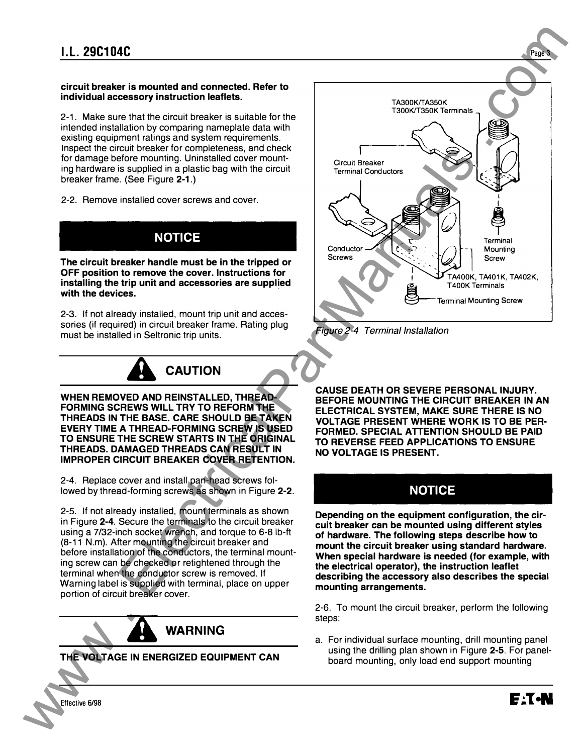#### circuit breaker is mounted and connected. Refer to individual accessory instruction leaflets.

2-1. Make sure that the circuit breaker is suitable for the intended installation by comparing nameplate data with existing equipment ratings and system requirements. Inspect the circuit breaker for completeness, and check for damage before mounting. Uninstalled cover mounting hardware is supplied in a plastic bag with the circuit breaker frame. (See Figure 2-1.)

2-2. Remove installed cover screws and cover.



The circuit breaker handle must be in the tripped or OFF position to remove the cover. Instructions for installing the trip unit and accessories are supplied with the devices.

2-3. If not already installed, mount trip unit and accessories (if required) in circuit breaker frame. Rating plug must be installed in Seltronic trip units.



WHEN REMOVED AND REINSTALLED, THREAD-FORMING SCREWS WILL TRY TO REFORM THE THREADS IN THE BASE. CARE SHOULD BE TAKEN EVERY TIME A THREAD-FORMING SCREW IS USED TO ENSURE THE SCREW STARTS IN THE ORIGINAL THREADS. DAMAGED THREADS CAN RESULT IN IMPROPER CIRCUIT BREAKER COVER RETENTION.

2-4. Replace cover and install pan-head screws followed by thread-forming screws as shown in Figure 2-2.

2-5. If not already installed, mount terminals as shown in Figure 2-4. Secure the terminals to the circuit breaker using a 7/32-inch socket wrench, and torque to 6-8 lb-ft (8-11 N.m). After mounting the circuit breaker and before installation of the conductors, the terminal mounting screw can be checked or retightened through the terminal when the conductor screw is removed. If Warning label is supplied with terminal, place on upper portion of circuit breaker cover.



THE VOLTAGE IN ENERGIZED EQUIPMENT CAN



Figure 2-4 Terminal Installation

CAUSE DEATH OR SEVERE PERSONAL INJURY. BEFORE MOUNTING THE CIRCUIT BREAKER IN AN ELECTRICAL SYSTEM, MAKE SURE THERE IS NO VOLTAGE PRESENT WHERE WORK IS TO BE PER-FORMED. SPECIAL ATTENTION SHOULD BE PAID TO REVERSE FEED APPLICATIONS TO ENSURE NO VOLTAGE IS PRESENT.

## NOTICE

Depending on the equipment configuration, the circuit breaker can be mounted using different styles of hardware. The following steps describe how to mount the circuit breaker using standard hardware. When special hardware is needed (for example, with the electrical operator), the instruction leaflet describing the accessory also describes the special mounting arrangements.

2-6. To mount the circuit breaker, perform the following steps:

a. For individual surface mounting, drill mounting panel using the drilling plan shown in Figure 2-5. For panelboard mounting, only load end support mounting

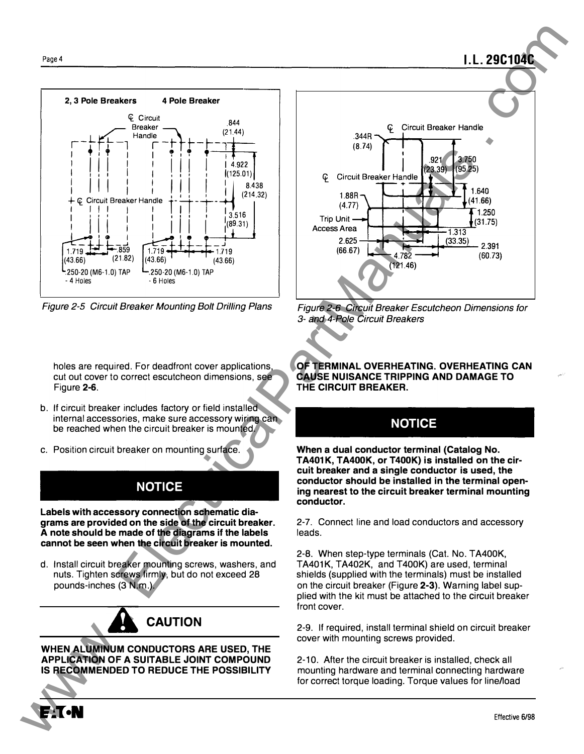

Figure 2-5 Circuit Breaker Mounting Bolt Drilling Plans

holes are required. For deadfront cover applications, cut out cover to correct escutcheon dimensions, see Figure 2-6.

- b. If circuit breaker includes factory or field installed internal accessories, make sure accessory wiring can be reached when the circuit breaker is mounted.
- c. Position circuit breaker on mounting surface.

## **NOTICE**

Labels with accessory connection schematic diagrams are provided on the side of the circuit breaker. A note should be made of the diagrams if the labels cannot be seen when the circuit breaker is mounted.

d. Install circuit breaker mounting screws, washers, and nuts. Tighten screws firmly, but do not exceed 28 pounds-inches (3 N.m.).

## **CAUTION**

WHEN ALUMINUM CONDUCTORS ARE USED, THE APPLICATION OF A SUITABLE JOINT COMPOUND IS RECOMMENDED TO REDUCE THE POSSIBILITY WHEN ALUMINUM C<br>APPLICATION OF A<br>IS RECOMMENDED



l.l. 29C1 04C

Figure 2-6 Circuit Breaker Escutcheon Dimensions for 3- and 4-Pole Circuit Breakers

OF TERMINAL OVERHEATING. OVERHEATING CAN CAUSE NUISANCE TRIPPING AND DAMAGE TO THE CIRCUIT BREAKER.

## **NOTICE**

When a dual conductor terminal (Catalog No. TA401K, TA400K, or T400K) is installed on the circuit breaker and a single conductor is used, the conductor should be installed in the terminal opening nearest to the circuit breaker terminal mounting conductor.

2-7. Connect line and load conductors and accessory leads.

2-8. When step-type terminals (Cat. No. T A400K, TA401K, TA402K, and T400K) are used, terminal shields (supplied with the terminals) must be installed on the circuit breaker (Figure 2-3). Warning label supplied with the kit must be attached to the circuit breaker front cover.

2-9. If required, install terminal shield on circuit breaker cover with mounting screws provided.

2-10. After the circuit breaker is installed, check all mounting hardware and terminal connecting hardware for correct torque loading. Torque values for line/load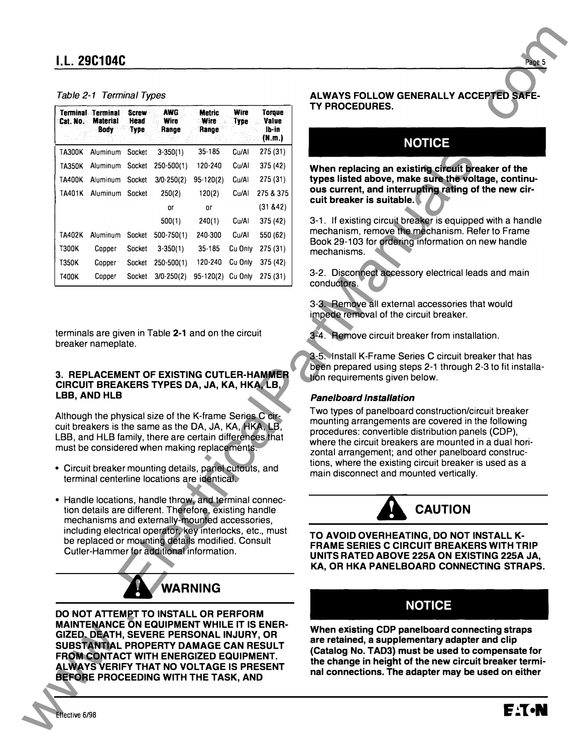#### Table 2-1 Terminal Types

|       | Table 2-1 Terminal Types                                     |                              |                                                                                                                                                                                                                                                                        |                                |                     |                                    | ALWAYS FOLLOW GENERALLY ACCEPTED SAFE-                                                                                                                                                                                                                                                                                                                       |
|-------|--------------------------------------------------------------|------------------------------|------------------------------------------------------------------------------------------------------------------------------------------------------------------------------------------------------------------------------------------------------------------------|--------------------------------|---------------------|------------------------------------|--------------------------------------------------------------------------------------------------------------------------------------------------------------------------------------------------------------------------------------------------------------------------------------------------------------------------------------------------------------|
|       | <b>Terminal Terminal</b><br><b>Cat. No. Material</b><br>Body | <b>Screw</b><br>Head<br>Type | <b>AWG</b><br><b>Wire</b><br>Range                                                                                                                                                                                                                                     | <b>Metric</b><br>Wire<br>Range | Wire<br><b>Type</b> | Torque<br>Value<br>lb-in<br>(N.m.) | TY PROCEDURES.                                                                                                                                                                                                                                                                                                                                               |
|       | TA300K Aluminum Socket                                       |                              | $3-350(1)$                                                                                                                                                                                                                                                             | $35 - 185$                     | Cu/Al               | 275(31)                            | <b>NOTICE</b>                                                                                                                                                                                                                                                                                                                                                |
|       |                                                              |                              | TA350K Aluminum Socket 250-500(1)                                                                                                                                                                                                                                      | 120-240                        | Cu/Al               | 375 (42)                           |                                                                                                                                                                                                                                                                                                                                                              |
|       | TA400K Aluminum Socket                                       |                              | $3/0 - 250(2)$                                                                                                                                                                                                                                                         | $95-120(2)$                    | Cu/Al               | 275 (31)                           | When replacing an existing circuit breaker of the<br>types listed above, make sure the voltage, continu-                                                                                                                                                                                                                                                     |
|       | TA401K Aluminum Socket                                       |                              | 250(2)                                                                                                                                                                                                                                                                 | 120(2)                         | Cu/Al               | 275 & 375                          | ous current, and interrupting rating of the new cir-                                                                                                                                                                                                                                                                                                         |
|       |                                                              |                              | or                                                                                                                                                                                                                                                                     | or                             |                     | (31 & 42)                          | cuit breaker is suitable.                                                                                                                                                                                                                                                                                                                                    |
|       |                                                              |                              | 500(1)                                                                                                                                                                                                                                                                 | 240(1)                         | Cu/Al               | 375 (42)                           | 3-1. If existing circuit breaker is equipped with a handle                                                                                                                                                                                                                                                                                                   |
|       | TA402K Aluminum Socket                                       |                              | 500-750(1)                                                                                                                                                                                                                                                             | 240-300                        | Cu/Al               | 550 (62)                           | mechanism, remove the mechanism. Refer to Frame                                                                                                                                                                                                                                                                                                              |
| T300K | Copper                                                       | Socket                       | $3-350(1)$                                                                                                                                                                                                                                                             | $35 - 185$                     | Cu Only             | 275 (31)                           | Book 29-103 for ordering information on new handle<br>mechanisms.                                                                                                                                                                                                                                                                                            |
| T350K | Copper                                                       | Socket                       | $250 - 500(1)$                                                                                                                                                                                                                                                         | 120-240                        | Cu Only             | 375 (42)                           |                                                                                                                                                                                                                                                                                                                                                              |
| T400K | Copper                                                       |                              | Socket 3/0-250(2) 95-120(2) Cu Only 275 (31)                                                                                                                                                                                                                           |                                |                     |                                    | 3-2. Disconnect accessory electrical leads and main<br>conductors.                                                                                                                                                                                                                                                                                           |
|       | breaker nameplate.                                           |                              | terminals are given in Table 2-1 and on the circuit                                                                                                                                                                                                                    |                                |                     |                                    | impede removal of the circuit breaker.<br>3-4. Remove circuit breaker from installation.<br>3-5. Install K-Frame Series C circuit breaker that has                                                                                                                                                                                                           |
|       | <b>LBB, AND HLB</b>                                          |                              | 3. REPLACEMENT OF EXISTING CUTLER-HAMMER<br>CIRCUIT BREAKERS TYPES DA, JA, KA, HKA, LB,<br>Although the physical size of the K-frame Series C cir-<br>cuit breakers is the same as the DA, JA, KA, HKA, LB,<br>LBB, and HLB family, there are certain differences that |                                |                     |                                    | been prepared using steps 2-1 through 2-3 to fit installa-<br>tion requirements given below.<br><b>Panelboard Installation</b><br>Two types of panelboard construction/circuit breaker<br>mounting arrangements are covered in the following<br>procedures: convertible distribution panels (CDP),<br>where the circuit breakers are mounted in a dual hori- |
|       |                                                              |                              | must be considered when making replacements.<br>• Circuit breaker mounting details, panel cutouts, and<br>terminal centerline locations are identical.                                                                                                                 |                                |                     |                                    | zontal arrangement; and other panelboard construc-<br>tions, where the existing circuit breaker is used as a<br>main disconnect and mounted vertically.                                                                                                                                                                                                      |
|       |                                                              |                              | • Handle locations, handle throw, and terminal connec-<br>tion details are different. Therefore, existing handle<br>mechanisms and externally-mounted accessories,                                                                                                     |                                |                     |                                    | <b>CAUTION</b>                                                                                                                                                                                                                                                                                                                                               |
|       |                                                              |                              | including electrical operator, key interlocks, etc., must<br>be replaced or mounting details modified. Consult<br>Cutler-Hammer for additional information.                                                                                                            |                                |                     |                                    | TO AVOID OVERHEATING, DO NOT INSTALL K-<br><b>FRAME SERIES C CIRCUIT BREAKERS WITH TRIP</b><br>UNITS RATED ABOVE 225A ON EXISTING 225A JA,<br>KA, OR HKA PANELBOARD CONNECTING STRAPS.                                                                                                                                                                       |
|       |                                                              |                              |                                                                                                                                                                                                                                                                        | WARNING                        |                     |                                    |                                                                                                                                                                                                                                                                                                                                                              |
|       |                                                              |                              | DO NOT ATTEMPT TO INSTALL OR PERFORM                                                                                                                                                                                                                                   |                                |                     |                                    | <b>NOTICE</b>                                                                                                                                                                                                                                                                                                                                                |

#### 3. REPLACEMENT OF EXISTING CUTLER-HAMMER CIRCUIT BREAKERS TYPES DA, JA, KA, HKA, LB, LBB, AND HLB

- Circuit breaker mounting details, panel cutouts, and terminal centerline locations are identical.
- Handle locations, handle throw, and terminal connection details are different. Therefore, existing handle mechanisms and externally-mounted accessories including electrical operator, key interlocks, etc., must be replaced or mounting details modified. Consult Cutler-Hammer for additional information.

## WARNING

#### NOTICE

#### Pane/board Installation



### NOTICE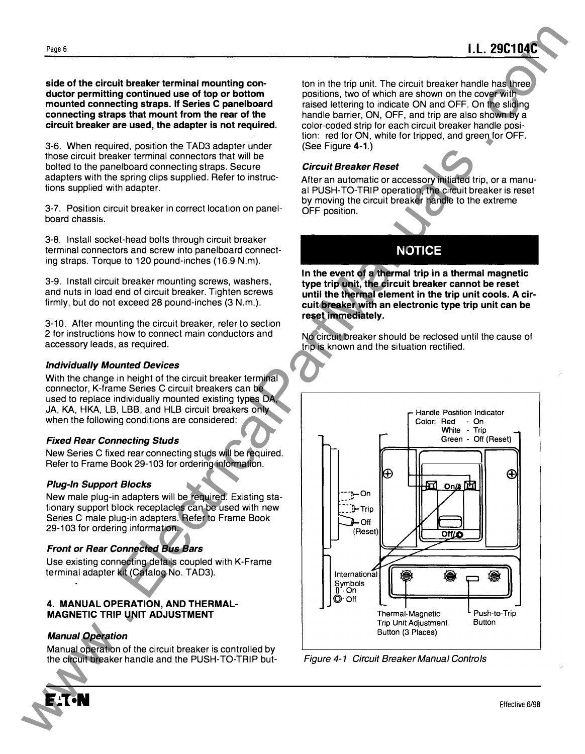side of the circuit breaker terminal mounting conductor permitting continued use of top or bottom mounted connecting straps. If Series C panelboard connecting straps that mount from the rear of the circuit breaker are used, the adapter is not required.

3-6. When required, position the TAD3 adapter under those circuit breaker terminal connectors that will be bolted to the panelboard connecting straps. Secure adapters with the spring clips supplied. Refer to instructions supplied with adapter.

3-7. Position circuit breaker in correct location on panelboard chassis.

3-8. Install socket-head bolts through circuit breaker terminal connectors and screw into panelboard connecting straps. Torque to 120 pound-inches (16.9 N.m).

3-9. Install circuit breaker mounting screws, washers, and nuts in load end of circuit breaker. Tighten screws firmly, but do not exceed 28 pound-inches (3 N.m.).

3-10. After mounting the circuit breaker, refer to section 2 for instructions how to connect main conductors and accessory leads, as required.

#### Individually Mounted Devices

With the change in height of the circuit breaker terminal connector, K-frame Series C circuit breakers can be used to replace individually mounted existing types DA, JA, KA, HKA, LB, LBB, and HLB circuit breakers only when the following conditions are considered:

#### Fixed Rear Connecting Studs

New Series C fixed rear connecting studs will be required. Refer to Frame Book 29-103 for ordering information.

#### Plug-In Support Blocks

New male plug-in adapters will be required. Existing stationary support block receptacles can be used with new Series C male plug-in adapters. Refer to Frame Book 29-103 for ordering information.

#### Front or Rear Connected Bus Bars

Use existing connecting details coupled with K-Frame terminal adapter kit (Catalog No. TAD3).

#### 4. MANUAL OPERATION, AND THERMAL-MAGNETIC TRIP UNIT ADJUSTMENT

#### Manual Operation

Manual operation of the circuit breaker is controlled by the circuit breaker handle and the PUSH-TO-TRIP but-



#### Circuit Breaker Reset

After an automatic or accessory initiated trip, or a manual PUSH-TO-TRIP operation, the circuit breaker is reset by moving the circuit breaker handle to the extreme OFF position.

## NOTICE

In the event of a thermal trip in a thermal magnetic type trip unit, the circuit breaker cannot be reset until the thermal element in the trip unit cools. A circuit breaker with an electronic type trip unit can be reset immediately.

No circuit breaker should be reclosed until the cause of trip is known and the situation rectified.



Figure 4-1 Circuit Breaker Manual Controls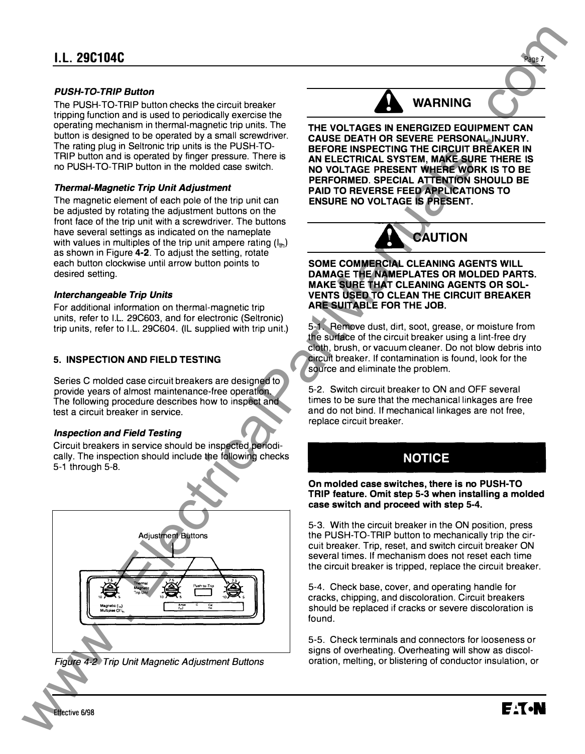#### PUSH-TO-TRIP Button

The PUSH-TO-TRIP button checks the circuit breaker tripping function and is used to periodically exercise the operating mechanism in thermal-magnetic trip units. The button is designed to be operated by a small screwdriver. The rating plug in Seltronic trip units is the PUSH-TO-TRIP button and is operated by finger pressure. There is no PUSH-TO-TRIP button in the molded case switch.

#### Thermal-Magnetic Trip Unit Adjustment

The magnetic element of each pole of the trip unit can be adjusted by rotating the adjustment buttons on the front face of the trip unit with a screwdriver. The buttons have several settings as indicated on the nameplate with values in multiples of the trip unit ampere rating  $(I_{1h})$ as shown in Figure 4-2. To adjust the setting, rotate each button clockwise until arrow button points to desired setting.

#### Interchangeable Trip Units

For additional information on thermal-magnetic trip units, refer to I.L. 29C603, and for electronic (Seltronic) trip units, refer to I.L. 29C604. (IL supplied with trip unit.)

#### 5. INSPECTION AND FIELD TESTING

Series C molded case circuit breakers are designed to provide years of almost maintenance-free operation. The following procedure describes how to inspect and test a circuit breaker in service.

#### Inspection and Field Testing

Circuit breakers in service should be inspected periodically. The inspection should include the following checks 5-1 through 5-8.



Figure 4-2 Trip Unit Magnetic Adjustment Buttons



Page 7

THE VOLTAGES IN ENERGIZED EQUIPMENT CAN CAUSE DEATH OR SEVERE PERSONAL INJURY. BEFORE INSPECTING THE CIRCUIT BREAKER IN AN ELECTRICAL SYSTEM, MAKE SURE THERE IS NO VOLTAGE PRESENT WHERE WORK IS TO BE PERFORMED. SPECIAL ATTENTION SHOULD BE PAID TO REVERSE FEED APPLICATIONS TO ENSURE NO VOLTAGE IS PRESENT.



#### SOME COMMERCIAL CLEANING AGENTS WILL DAMAGE THE NAMEPLATES OR MOLDED PARTS. MAKE SURE THAT CLEANING AGENTS OR SOL-VENTS USED TO CLEAN THE CIRCUIT BREAKER ARE SUITABLE FOR THE JOB.

5-1. Remove dust, dirt, soot, grease, or moisture from the surface of the circuit breaker using a lint-free dry cloth, brush, or vacuum cleaner. Do not blow debris into circuit breaker. If contamination is found, look for the source and eliminate the problem.

5-2. Switch circuit breaker to ON and OFF several times to be sure that the mechanical linkages are free and do not bind. If mechanical linkages are not free, replace circuit breaker.

## NOTICE

On molded case switches, there is no PUSH-TO TRIP feature. Omit step 5-3 when installing a molded case switch and proceed with step 5-4.

5-3. With the circuit breaker in the ON position, press the PUSH-TO-TRIP button to mechanically trip the circuit breaker. Trip, reset, and switch circuit breaker ON several times. If mechanism does not reset each time the circuit breaker is tripped, replace the circuit breaker.

5-4. Check base, cover, and operating handle for cracks, chipping, and discoloration. Circuit breakers should be replaced if cracks or severe discoloration is found.

5-5. Check terminals and connectors for looseness or signs of overheating. Overheating will show as discoloration, melting, or blistering of conductor insulation, or